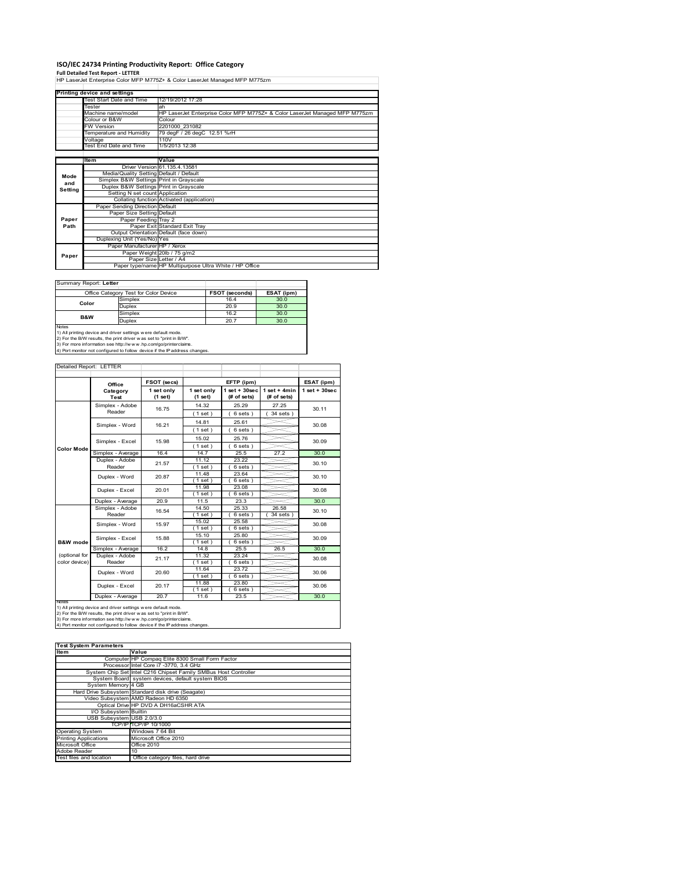## **ISO/IEC 24734 Printing Productivity Report: Office Category**

**Full Detailed Test Report ‐ LETTER** HP LaserJet Enterprise Color MFP M775Z+ & Color LaserJet Managed MFP M775zm

|         | Printing device and settings            |                                                                             |
|---------|-----------------------------------------|-----------------------------------------------------------------------------|
|         | Test Start Date and Time                | 12/19/2012 17:28                                                            |
|         | Tester                                  | ah                                                                          |
|         | Machine name/model                      | HP LaserJet Enterprise Color MFP M775Z+ & Color LaserJet Managed MFP M775zm |
|         | Colour or B&W                           | Colour                                                                      |
|         | <b>FW Version</b>                       | 2201000 231082                                                              |
|         | Temperature and Humidity                | 79 degF / 26 degC 12.51 %rH                                                 |
|         | Voltage                                 | 110V                                                                        |
|         | Test End Date and Time                  | 1/5/2013 12:38                                                              |
|         |                                         |                                                                             |
|         | Item                                    | Value                                                                       |
|         |                                         | Driver Version 61.135.4.13581                                               |
| Mode    | Media/Quality Setting Default / Default |                                                                             |
| and     | Simplex B&W Settings Print in Grayscale |                                                                             |
| Setting | Duplex B&W Settings Print in Grayscale  |                                                                             |
|         | Setting N set count Application         |                                                                             |
|         |                                         | Collating function Activated (application)                                  |
|         | Paper Sending Direction Default         |                                                                             |
|         | Paper Size Setting Default              |                                                                             |
| Paper   | Paper Feeding Tray 2                    |                                                                             |
| Path    |                                         | Paper Exit Standard Exit Tray                                               |
|         |                                         | Output Orientation Default (face down)                                      |
|         | Duplexing Unit (Yes/No) Yes             |                                                                             |
|         | Paper Manufacturer HP / Xerox           |                                                                             |
| Paper   |                                         | Paper Weight 20lb / 75 g/m2                                                 |
|         | Paper Size Letter / A4                  |                                                                             |
|         |                                         | Paper type/name HP Multipurpose Ultra White / HP Office                     |

Summary Report: **Letter**

|                                                                            | Office Category Test for Color Device                         | <b>FSOT (seconds)</b> | ESAT (ipm) |  |  |  |
|----------------------------------------------------------------------------|---------------------------------------------------------------|-----------------------|------------|--|--|--|
| Color                                                                      | Simplex                                                       | 16.4                  | 30.0       |  |  |  |
|                                                                            | <b>Duplex</b>                                                 | 20.9                  | 30.0       |  |  |  |
| <b>B&amp;W</b>                                                             | Simplex                                                       | 16.2                  | 30.0       |  |  |  |
|                                                                            | <b>Duplex</b>                                                 | 20.7                  | 30.0       |  |  |  |
| <b>Notes</b>                                                               |                                                               |                       |            |  |  |  |
|                                                                            | 1) All printing device and driver settings were default mode. |                       |            |  |  |  |
| 2) For the B/W results, the print driver was set to "print in B/W".        |                                                               |                       |            |  |  |  |
| 3) For more information see http://w w w .hp.com/go/printerclaims.         |                                                               |                       |            |  |  |  |
| 4) Port monitor not configured to follow device if the IP address changes. |                                                               |                       |            |  |  |  |

|                                | Office                    | FSOT (secs)           |                       | EFTP (ipm)                        |                                | ESAT (ipm)         |
|--------------------------------|---------------------------|-----------------------|-----------------------|-----------------------------------|--------------------------------|--------------------|
|                                | Category<br><b>Test</b>   | 1 set only<br>(1 set) | 1 set only<br>(1 set) | $1$ set + $30$ sec<br>(# of sets) | $1$ set + 4min<br>$#$ of sets) | $1$ set + $30$ sec |
|                                | Simplex - Adobe<br>Reader | 16.75                 | 14.32<br>(1 set)      | 25.29<br>(<br>6 sets)             | 27.25<br>$34$ sets)            | 30.11              |
|                                | Simplex - Word            | 16.21                 | 14.81<br>(1 set)      | 25.61<br>6 sets)                  |                                | 30.08              |
|                                | Simplex - Excel           | 15.98                 | 15.02<br>(1 set)      | 25.76<br>6 sets)                  |                                | 30.09              |
| <b>Color Mode</b>              | Simplex - Average         | 16.4                  | 14.7                  | 25.5                              | 27.2                           | 30.0               |
|                                | Duplex - Adobe<br>Reader  | 21.57                 | 11.12<br>(1 set)      | 23.22<br>$6 sets$ )               |                                | 30.10              |
|                                | Duplex - Word             | 20.87                 | 11.48<br>(1 set )     | 23.64<br>$6 sets$ )               |                                | 30.10              |
|                                | Duplex - Excel            | 20.01                 | 11.98<br>(1 set)      | 23.08<br>$6 sets$ )               |                                | 30.08              |
|                                | Duplex - Average          | 20.9                  | 11.5                  | 23.3                              |                                | 30.0               |
|                                | Simplex - Adobe<br>Reader | 16.54                 | 14.50<br>$1$ set)     | 25.33<br>$6 sets$ )               | 26.58<br>34 sets )             | 30.10              |
|                                | Simplex - Word            | 15.97                 | 15.02<br>$1$ set $)$  | 25.58<br>6 sets)                  |                                | 30.08              |
| <b>B&amp;W</b> mode            | Simplex - Excel           | 15.88                 | 15.10<br>$1$ set)     | 25.80<br>6 sets)                  |                                | 30.09              |
|                                | Simplex - Average         | 16.2                  | 14.8                  | 25.5                              | 26.5                           | 30.0               |
| (optional for<br>color device) | Duplex - Adobe<br>Reader  | 21.17                 | 11.32<br>$1$ set)     | 23.24<br>6 sets)                  |                                | 30.08              |
|                                | Duplex - Word             | 20.60                 | 11.64<br>(1 set)      | 23.72<br>6 sets)                  |                                | 30.06              |
|                                | Duplex - Excel            | 20.17                 | 11.88<br>$1$ set)     | 23.80<br>$6 sets$ )               |                                | 30.06              |
|                                | Duplex - Average          | 20.7                  | 11.6                  | 23.5                              |                                | 30.0               |

| <b>Test System Parameters</b> |                                                                 |  |  |  |  |
|-------------------------------|-----------------------------------------------------------------|--|--|--|--|
| <b>Item</b>                   | Value                                                           |  |  |  |  |
|                               | Computer HP Compaq Elite 8300 Small Form Factor                 |  |  |  |  |
|                               | Processor Intel Core i7 -3770, 3.4 GHz                          |  |  |  |  |
|                               | System Chip Set Intel C216 Chipset Family SMBus Host Controller |  |  |  |  |
|                               | System Board system devices, default system BIOS                |  |  |  |  |
| System Memory 4 GB            |                                                                 |  |  |  |  |
|                               | Hard Drive Subsystem Standard disk drive (Seagate)              |  |  |  |  |
|                               | Video Subsystem AMD Radeon HD 6350                              |  |  |  |  |
|                               | Optical Drive HP DVD A DH16aCSHR ATA                            |  |  |  |  |
| I/O Subsystem Builtin         |                                                                 |  |  |  |  |
| USB Subsystem USB 2.0/3.0     |                                                                 |  |  |  |  |
|                               | TCP/IP TCP/IP 10/1000                                           |  |  |  |  |
| <b>Operating System</b>       | Windows 7 64 Bit                                                |  |  |  |  |
| <b>Printing Applications</b>  | Microsoft Office 2010                                           |  |  |  |  |
| Microsoft Office              | Office 2010                                                     |  |  |  |  |
| Adobe Reader                  | 10                                                              |  |  |  |  |
| Test files and location       | Office category files, hard drive                               |  |  |  |  |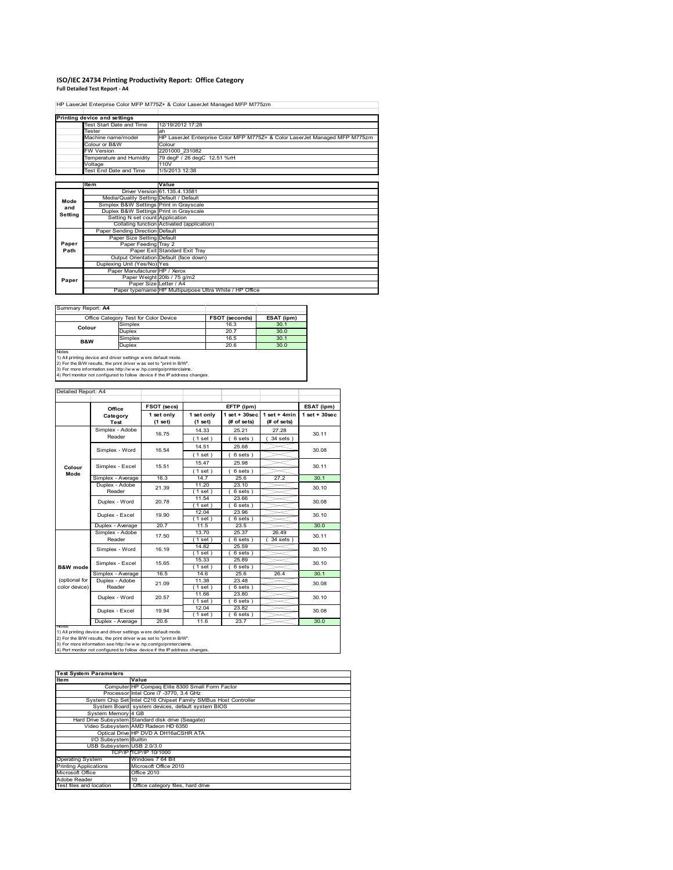#### **ISO/IEC 24734 Printing Productivity Report: Office Category Full Detailed Test Report ‐ A4**

HP LaserJet Enterprise Color MFP M775Z+ & Color LaserJet Managed MFP M775zm

|         | Printing device and settings            |                                                                             |
|---------|-----------------------------------------|-----------------------------------------------------------------------------|
|         | Test Start Date and Time                | 12/19/2012 17:28                                                            |
|         | Tester                                  | ah                                                                          |
|         | Machine name/model                      | HP LaserJet Enterprise Color MFP M775Z+ & Color LaserJet Managed MFP M775zm |
|         | Colour or B&W                           | Colour                                                                      |
|         | <b>FW Version</b>                       | 2201000 231082                                                              |
|         | Temperature and Humidity                | 79 degF / 26 degC 12.51 %rH                                                 |
|         | Voltage                                 | 110V                                                                        |
|         | Test End Date and Time                  | 1/5/2013 12:38                                                              |
|         |                                         |                                                                             |
|         | <b>Item</b>                             | Value                                                                       |
|         |                                         | Driver Version 61.135.4.13581                                               |
| Mode    | Media/Quality Setting Default / Default |                                                                             |
| and     | Simplex B&W Settings Print in Grayscale |                                                                             |
| Setting | Duplex B&W Settings Print in Grayscale  |                                                                             |
|         | Setting N set count Application         |                                                                             |
|         |                                         | Collating function Activated (application)                                  |
|         | Paper Sending Direction Default         |                                                                             |
|         | Paper Size Setting Default              |                                                                             |
| Paper   | Paper Feeding Tray 2                    |                                                                             |
| Path    |                                         | Paper Exit Standard Exit Tray                                               |
|         |                                         | Output Orientation Default (face down)                                      |
|         | Duplexing Unit (Yes/No) Yes             |                                                                             |
|         | Paper Manufacturer HP / Xerox           |                                                                             |
| Paper   |                                         | Paper Weight 20lb / 75 g/m2                                                 |
|         |                                         | Paper Size Letter / A4                                                      |
|         |                                         | Paper type/name HP Multipurpose Ultra White / HP Office                     |

Summary Report: **A4**

|                                                               | Office Category Test for Color Device | FSOT (seconds) | ESAT (ipm) |  |  |  |
|---------------------------------------------------------------|---------------------------------------|----------------|------------|--|--|--|
| Colour                                                        | Simplex                               | 16.3           | 30.1       |  |  |  |
|                                                               | <b>Duplex</b>                         | 20.7           | 30.0       |  |  |  |
| <b>B&amp;W</b>                                                | Simplex                               | 16.5           | 30.1       |  |  |  |
|                                                               | <b>Duplex</b>                         | 20.6           | 30.0       |  |  |  |
| <b>Notes</b>                                                  |                                       |                |            |  |  |  |
| 1) All printing device and driver settings were default mode. |                                       |                |            |  |  |  |

1) All printing device and driver settings were default mode.<br>2) For the B/W results, the print driver was set to "print in B/W".<br>3) For more information see http://www.hp.com/go/printerclaims.<br>4) Port monitor not configur

| Detailed Report: A4            |                           |                       |                       |                                   |                               |                   |
|--------------------------------|---------------------------|-----------------------|-----------------------|-----------------------------------|-------------------------------|-------------------|
|                                | Office                    | FSOT (secs)           |                       | EFTP (ipm)                        |                               | ESAT (ipm)        |
|                                | Category<br><b>Test</b>   | 1 set only<br>(1 set) | 1 set only<br>(1 set) | $1$ set + $30$ sec<br>(# of sets) | $1$ set + 4min<br>(# of sets) | $1$ set $+30$ sec |
|                                | Simplex - Adobe<br>Reader | 16.75                 | 14.33<br>(1 set)      | 25.21<br>6 sets)                  | 27.28<br>34 sets )            | 30.11             |
|                                | Simplex - Word            | 16.54                 | 14.51<br>(1 set)      | 25.68<br>$6 sets$ )               |                               | 30.08             |
| Colour                         | Simplex - Excel           | 15.51                 | 15.47                 | 25.98                             |                               | 30.11             |
| Mode                           | Simplex - Average         | 16.3                  | (1 set)<br>14.7       | 6 sets)<br>25.6                   | 27.2                          | 30.1              |
|                                | Duplex - Adobe<br>Reader  | 21.39                 | 11.20<br>$1$ set)     | 23.10<br>6 sets)                  |                               | 30.10             |
|                                | Duplex - Word             | 20.78                 | 11.54<br>(1 set)      | 23.66<br>$6 sets$ )               |                               | 30.08             |
|                                | Duplex - Excel            | 19.90                 | 12.04<br>(1 set)      | 23.96<br>6 sets)                  |                               | 30.10             |
|                                | Duplex - Average          | 20.7                  | 11.5                  | 23.5                              |                               | 30.0              |
|                                | Simplex - Adobe<br>Reader | 17.50                 | 13.70<br>$1$ set)     | 25.37<br>$6 sets$ )               | 26.49<br>$34$ sets)           | 30.11             |
|                                | Simplex - Word            | 16.19                 | 14.82<br>(1 set)      | 25.59<br>6 sets)                  |                               | 30.10             |
| <b>B&amp;W</b> mode            | Simplex - Excel           | 15.65                 | 15.33<br>(1 set)      | 25.89<br>6 sets)                  |                               | 30.10             |
|                                | Simplex - Average         | 16.5                  | 14.6                  | 25.6                              | 26.4                          | 30.1              |
| (optional for<br>color device) | Duplex - Adobe<br>Reader  | 21.09                 | 11.38<br>$1$ set)     | 23.48<br>$6 sets$ )               |                               | 30.08             |
|                                | Duplex - Word             | 20.57                 | 11.66<br>(1 set)      | 23.80<br>6 sets)                  |                               | 30.10             |
|                                | Duplex - Excel            | 19.94                 | 12.04<br>$1$ set)     | 23.82<br>6 sets)                  |                               | 30.08             |
| Notee                          | Duplex - Average          | 20.6                  | 11.6                  | 23.7                              |                               | 30.0              |

Notes<br>1) All printing device and driver settings were default mode.<br>2) For the B/W results, the print driver was set to "print in B/W".<br>3) For more information see http://www.hp.com/go/printerclaims.<br>4) Por more informati

| <b>Test System Parameters</b> |                                                                 |  |  |  |  |
|-------------------------------|-----------------------------------------------------------------|--|--|--|--|
| <b>Item</b>                   | Value                                                           |  |  |  |  |
|                               | Computer HP Compaq Elite 8300 Small Form Factor                 |  |  |  |  |
|                               | Processor Intel Core i7 -3770, 3.4 GHz                          |  |  |  |  |
|                               | System Chip Set Intel C216 Chipset Family SMBus Host Controller |  |  |  |  |
|                               | System Board system devices, default system BIOS                |  |  |  |  |
| System Memory 4 GB            |                                                                 |  |  |  |  |
|                               | Hard Drive Subsystem Standard disk drive (Seagate)              |  |  |  |  |
|                               | Video Subsystem AMD Radeon HD 6350                              |  |  |  |  |
|                               | Optical Drive HP DVD A DH16aCSHR ATA                            |  |  |  |  |
| I/O Subsystem Builtin         |                                                                 |  |  |  |  |
| USB Subsystem USB 2.0/3.0     |                                                                 |  |  |  |  |
|                               | TCP/IP TCP/IP 10/1000                                           |  |  |  |  |
| <b>Operating System</b>       | Windows 7 64 Bit                                                |  |  |  |  |
| <b>Printing Applications</b>  | Microsoft Office 2010                                           |  |  |  |  |
| Microsoft Office              | <b>Office 2010</b>                                              |  |  |  |  |
| Adobe Reader                  | 10                                                              |  |  |  |  |
| Test files and location       | Office category files, hard drive                               |  |  |  |  |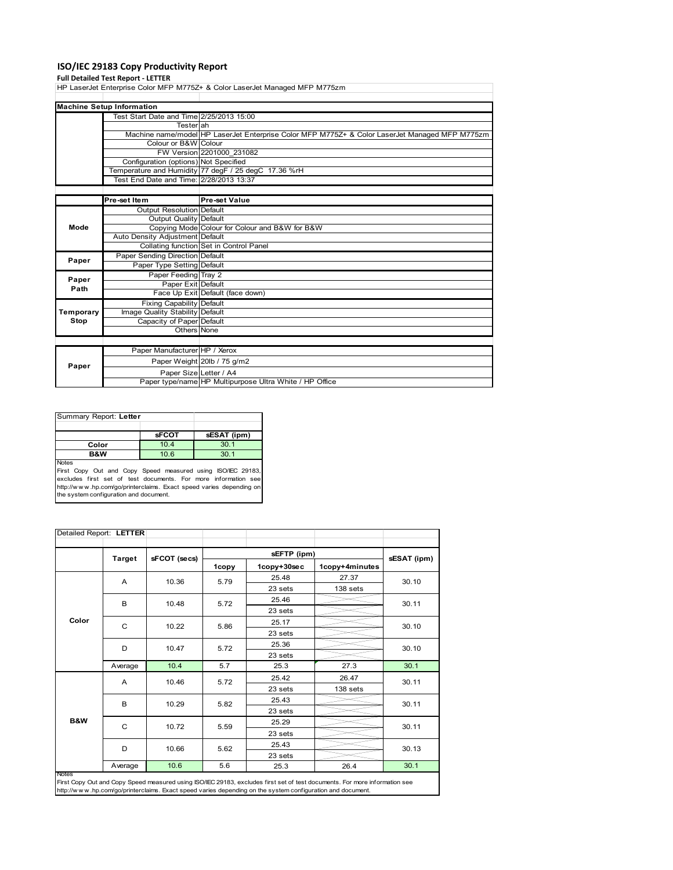## **ISO/IEC 29183 Copy Productivity Report**

**Full Detailed Test Report ‐ LETTER** HP LaserJet Enterprise Color MFP M775Z+ & Color LaserJet Managed MFP M775zm

|                  | <b>Machine Setup Information</b>         |                                                                                                |  |  |  |
|------------------|------------------------------------------|------------------------------------------------------------------------------------------------|--|--|--|
|                  | Test Start Date and Time 2/25/2013 15:00 |                                                                                                |  |  |  |
|                  | Testerlah                                |                                                                                                |  |  |  |
|                  |                                          | Machine name/model HP LaserJet Enterprise Color MFP M775Z+ & Color LaserJet Managed MFP M775zm |  |  |  |
|                  | Colour or B&W Colour                     |                                                                                                |  |  |  |
|                  |                                          | FW Version 2201000 231082                                                                      |  |  |  |
|                  | Configuration (options) Not Specified    |                                                                                                |  |  |  |
|                  |                                          | Temperature and Humidity 77 degF / 25 degC 17.36 %rH                                           |  |  |  |
|                  | Test End Date and Time: 2/28/2013 13:37  |                                                                                                |  |  |  |
|                  |                                          |                                                                                                |  |  |  |
|                  | Pre-set Item                             | Pre-set Value                                                                                  |  |  |  |
|                  | <b>Output Resolution Default</b>         |                                                                                                |  |  |  |
|                  | Output Quality Default                   |                                                                                                |  |  |  |
| Mode             |                                          | Copying Mode Colour for Colour and B&W for B&W                                                 |  |  |  |
|                  | Auto Density Adjustment Default          |                                                                                                |  |  |  |
|                  |                                          | Collating function Set in Control Panel                                                        |  |  |  |
| Paper            | Paper Sending Direction Default          |                                                                                                |  |  |  |
|                  | Paper Type Setting Default               |                                                                                                |  |  |  |
|                  | Paper Feeding Tray 2                     |                                                                                                |  |  |  |
| Paper<br>Path    | Paper Exit Default                       |                                                                                                |  |  |  |
|                  |                                          | Face Up Exit Default (face down)                                                               |  |  |  |
|                  | <b>Fixing Capability Default</b>         |                                                                                                |  |  |  |
| <b>Temporary</b> | Image Quality Stability Default          |                                                                                                |  |  |  |
| Stop             | Capacity of Paper Default                |                                                                                                |  |  |  |
|                  | Others None                              |                                                                                                |  |  |  |
|                  |                                          |                                                                                                |  |  |  |
|                  | Paper Manufacturer HP / Xerox            |                                                                                                |  |  |  |
| Paper            |                                          | Paper Weight 20lb / 75 g/m2                                                                    |  |  |  |
|                  |                                          | Paper Size Letter / A4                                                                         |  |  |  |
|                  |                                          | Paper type/name HP Multipurpose Ultra White / HP Office                                        |  |  |  |

| Summary Report: Letter                                                      |              |             |  |
|-----------------------------------------------------------------------------|--------------|-------------|--|
|                                                                             | <b>sFCOT</b> | sESAT (ipm) |  |
| Color                                                                       | 10.4         | 30.1        |  |
| <b>B&amp;W</b>                                                              | 10.6         | 30.1        |  |
| <b>Notes</b><br>First Copy Out and Copy Speed measured using ISO/IEC 29183, |              |             |  |

First Copy Out and Copy Speed measured using ISO/IEC 29183,<br>excludes first set of test documents. For more information see<br>http://www.hp.com/go/printerclaims. Exact speed varies depending on<br>the system.configuration and do

|       | Detailed Report: LETTER |              |       |             |                |             |
|-------|-------------------------|--------------|-------|-------------|----------------|-------------|
|       | <b>Target</b>           | sFCOT (secs) |       | sEFTP (ipm) |                | sESAT (ipm) |
|       |                         |              | 1copy | 1copy+30sec | 1copy+4minutes |             |
|       | A                       | 10.36        | 5.79  | 25.48       | 27.37          | 30.10       |
|       |                         |              |       | 23 sets     | 138 sets       |             |
|       | B                       | 10.48        | 5.72  | 25.46       |                | 30.11       |
|       |                         |              |       | 23 sets     |                |             |
| Color | C                       | 10.22        | 5.86  | 25.17       |                | 30.10       |
|       |                         |              |       | 23 sets     |                |             |
|       | D                       | 10.47        | 5.72  | 25.36       |                | 30.10       |
|       |                         |              |       | 23 sets     |                |             |
|       | Average                 | 10.4         | 5.7   | 25.3        | 27.3           | 30.1        |
|       | A                       | 10.46        | 5.72  | 25.42       | 26.47          | 30.11       |
|       |                         |              |       | 23 sets     | 138 sets       |             |
|       | B                       | 10.29        | 5.82  | 25.43       |                | 30.11       |
|       |                         |              |       | 23 sets     |                |             |
| B&W   | C                       | 10.72        | 5.59  | 25.29       |                | 30.11       |
|       |                         |              |       | 23 sets     |                |             |
|       | D                       | 10.66        | 5.62  | 25.43       |                | 30.13       |
|       |                         |              |       | 23 sets     |                |             |
|       | Average                 | 10.6         | 5.6   | 25.3        | 26.4           | 30.1        |

First Copy Out and Copy Speed measured using ISO/IEC 29183, excludes first set of test documents. For more information see<br>http://w w w .hp.com/go/printerclaims. Exact speed varies depending on the system configuration and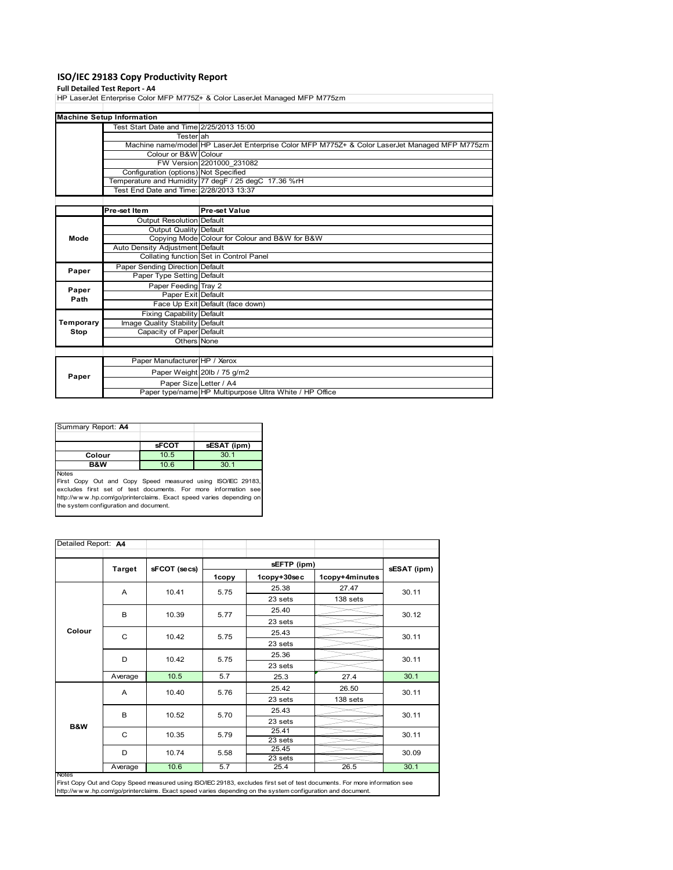## **ISO/IEC 29183 Copy Productivity Report**

#### **Full Detailed Test Report ‐ A4**

HP LaserJet Enterprise Color MFP M775Z+ & Color LaserJet Managed MFP M775zm

|      | <b>Machine Setup Information</b>         |                                                                                                |
|------|------------------------------------------|------------------------------------------------------------------------------------------------|
|      | Test Start Date and Time 2/25/2013 15:00 |                                                                                                |
|      | Testerlah                                |                                                                                                |
|      |                                          | Machine name/model HP LaserJet Enterprise Color MFP M775Z+ & Color LaserJet Managed MFP M775zm |
|      | Colour or B&W Colour                     |                                                                                                |
|      |                                          | FW Version 2201000 231082                                                                      |
|      | Configuration (options) Not Specified    |                                                                                                |
|      |                                          | Temperature and Humidity 77 degF / 25 degC 17.36 %rH                                           |
|      | Test End Date and Time: 2/28/2013 13:37  |                                                                                                |
|      |                                          |                                                                                                |
|      | Pre-set Item                             | <b>Pre-set Value</b>                                                                           |
|      | Output Resolution Default                |                                                                                                |
|      | <b>Output Quality Default</b>            |                                                                                                |
| Mode |                                          | Copying Mode Colour for Colour and B&W for B&W                                                 |
|      | Auto Density Adjustment Default          |                                                                                                |
|      |                                          | Collating function Set in Control Panel                                                        |

| Paper             | Paper Sending Direction Default  |                                                         |
|-------------------|----------------------------------|---------------------------------------------------------|
|                   | Paper Type Setting Default       |                                                         |
| Paper             | Paper Feeding Tray 2             |                                                         |
| Path              | Paper Exit Default               |                                                         |
|                   |                                  | Face Up Exit Default (face down)                        |
|                   | <b>Fixing Capability Default</b> |                                                         |
| Temporary<br>Stop | Image Quality Stability Default  |                                                         |
|                   | Capacity of Paper Default        |                                                         |
|                   | Others None                      |                                                         |
|                   |                                  |                                                         |
| Paper             | Paper Manufacturer HP / Xerox    |                                                         |
|                   |                                  | Paper Weight 20lb / 75 g/m2                             |
|                   | Paper Size Letter / A4           |                                                         |
|                   |                                  | Paper type/name HP Multipurpose Ultra White / HP Office |

| Summary Report: A4 |              |             |
|--------------------|--------------|-------------|
|                    |              |             |
|                    | <b>SFCOT</b> | sESAT (ipm) |
| Colour             | 10.5         | 30.1        |
| <b>B&amp;W</b>     | 10.6         | 30.1        |
| <b>Notes</b>       |              |             |

Notes<br>First Copy Out and Copy Speed measured using ISO/IEC 29183,<br>excludes first set of test documents. For more information see<br>http://www.hp.com/go/printerclaims. Exact speed varies depending on<br>the system.configuration

| Detailed Report: A4 |               |              |       |                            |                |             |
|---------------------|---------------|--------------|-------|----------------------------|----------------|-------------|
|                     |               |              |       |                            |                |             |
|                     | <b>Target</b> | sFCOT (secs) | 1copy | sEFTP (ipm)<br>1copy+30sec | 1copy+4minutes | sESAT (ipm) |
|                     | A             | 10.41        | 5.75  | 25.38                      | 27.47          | 30.11       |
|                     |               |              |       | 23 sets                    | 138 sets       |             |
|                     | B             |              | 5.77  | 25.40                      |                | 30.12       |
|                     |               | 10.39        |       | 23 sets                    |                |             |
| Colour              | C             | 10.42        | 5.75  | 25.43                      |                | 30.11       |
|                     |               |              |       | 23 sets                    |                |             |
|                     |               | 10.42        | 5.75  | 25.36                      |                | 30.11       |
|                     | D             |              |       | 23 sets                    |                |             |
|                     | Average       | 10.5         | 5.7   | 25.3                       | 27.4           | 30.1        |
| B&W                 | A             | 10.40        | 5.76  | 25.42                      | 26.50          | 30.11       |
|                     |               |              |       | 23 sets                    | 138 sets       |             |
|                     | B             | 10.52        | 5.70  | 25.43                      |                | 30.11       |
|                     |               |              |       | 23 sets                    |                |             |
|                     | C             | 10.35        | 5.79  | 25.41                      |                | 30.11       |
|                     |               |              |       | 23 sets                    |                |             |
|                     | D             | 10.74        | 5.58  | 25.45                      |                | 30.09       |
|                     | Average       | 10.6         | 5.7   | 23 sets<br>25.4            | 26.5           | 30.1        |
| <b>Notes</b>        |               |              |       |                            |                |             |

Notes<br>First Copy Out and Copy Speed measured using ISO/IEC 29183, excludes first set of test documents. For more information see<br>http://www.hp.com/go/printerclaims. Exact speed varies depending on the system configuration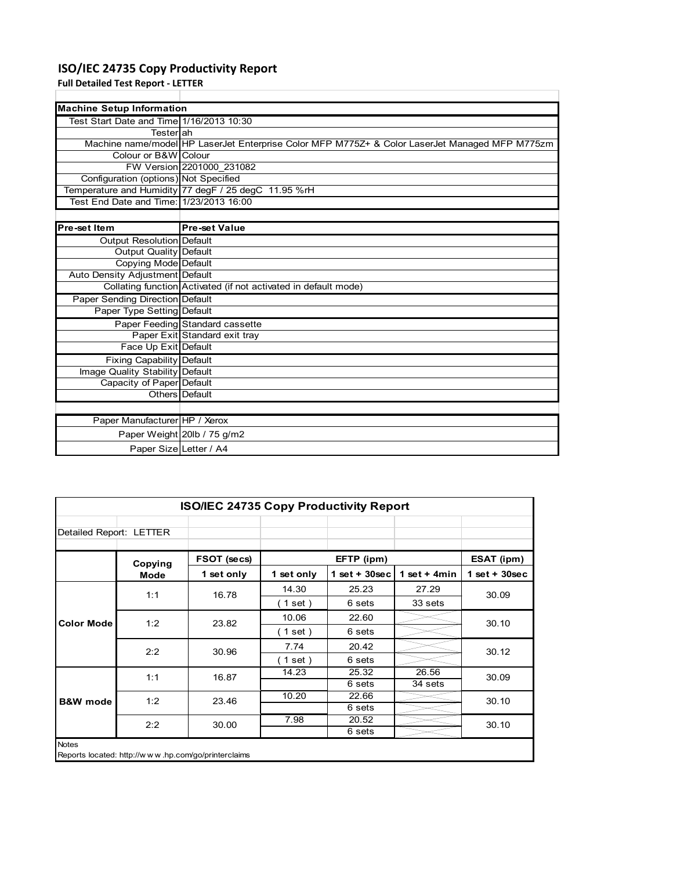## **ISO/IEC 24735 Copy Productivity Report**

**Full Detailed Test Report ‐ LETTER**

| <b>Machine Setup Information</b>         |                                                                                                |  |  |  |  |  |
|------------------------------------------|------------------------------------------------------------------------------------------------|--|--|--|--|--|
| Test Start Date and Time 1/16/2013 10:30 |                                                                                                |  |  |  |  |  |
| Testerlah                                |                                                                                                |  |  |  |  |  |
|                                          | Machine name/model HP LaserJet Enterprise Color MFP M775Z+ & Color LaserJet Managed MFP M775zm |  |  |  |  |  |
| Colour or B&W Colour                     |                                                                                                |  |  |  |  |  |
|                                          | FW Version 2201000 231082                                                                      |  |  |  |  |  |
| Configuration (options) Not Specified    |                                                                                                |  |  |  |  |  |
|                                          | Temperature and Humidity 77 degF / 25 degC 11.95 %rH                                           |  |  |  |  |  |
| Test End Date and Time: 1/23/2013 16:00  |                                                                                                |  |  |  |  |  |
|                                          |                                                                                                |  |  |  |  |  |
| Pre-set Item                             | <b>Pre-set Value</b>                                                                           |  |  |  |  |  |
| Output Resolution Default                |                                                                                                |  |  |  |  |  |
| <b>Output Quality Default</b>            |                                                                                                |  |  |  |  |  |
| Copying Mode Default                     |                                                                                                |  |  |  |  |  |
| Auto Density Adjustment Default          |                                                                                                |  |  |  |  |  |
|                                          | Collating function Activated (if not activated in default mode)                                |  |  |  |  |  |
| <b>Paper Sending Direction Default</b>   |                                                                                                |  |  |  |  |  |
| Paper Type Setting Default               |                                                                                                |  |  |  |  |  |
|                                          | Paper Feeding Standard cassette                                                                |  |  |  |  |  |
|                                          | Paper Exit Standard exit tray                                                                  |  |  |  |  |  |
| Face Up Exit Default                     |                                                                                                |  |  |  |  |  |
| <b>Fixing Capability Default</b>         |                                                                                                |  |  |  |  |  |
| Image Quality Stability Default          |                                                                                                |  |  |  |  |  |
| Capacity of Paper Default                |                                                                                                |  |  |  |  |  |
|                                          | Others Default                                                                                 |  |  |  |  |  |
|                                          |                                                                                                |  |  |  |  |  |
| Paper Manufacturer HP / Xerox            |                                                                                                |  |  |  |  |  |
|                                          | Paper Weight 20lb / 75 g/m2                                                                    |  |  |  |  |  |
| Paper Size Letter / A4                   |                                                                                                |  |  |  |  |  |

| <b>ISO/IEC 24735 Copy Productivity Report</b>                       |         |             |            |                 |                |                 |
|---------------------------------------------------------------------|---------|-------------|------------|-----------------|----------------|-----------------|
| Detailed Report: LETTER                                             |         |             |            |                 |                |                 |
|                                                                     | Copying | FSOT (secs) | EFTP (ipm) |                 |                | ESAT (ipm)      |
|                                                                     | Mode    | 1 set only  | 1 set only | $1$ set + 30sec | 1 set $+$ 4min | $1$ set + 30sec |
|                                                                     | 1:1     | 16.78       | 14.30      | 25.23           | 27.29          | 30.09           |
|                                                                     |         |             | (1 set )   | 6 sets          | 33 sets        |                 |
| <b>Color Mode</b>                                                   | 1:2     | 23.82       | 10.06      | 22.60           |                | 30.10           |
|                                                                     |         |             | (1 set )   | 6 sets          |                |                 |
|                                                                     | 2:2     | 30.96       | 7.74       | 20.42           |                | 30.12           |
|                                                                     |         |             | (1 set)    | 6 sets          |                |                 |
|                                                                     | 1:1     | 16.87       | 14.23      | 25.32           | 26.56          | 30.09           |
|                                                                     |         |             |            | 6 sets          | 34 sets        |                 |
| <b>B&amp;W</b> mode                                                 | 1:2     | 23.46       | 10.20      | 22.66           |                | 30.10<br>30.10  |
|                                                                     |         |             |            | 6 sets          |                |                 |
|                                                                     | 2:2     | 30.00       | 7.98       | 20.52           |                |                 |
|                                                                     |         |             |            | 6 sets          |                |                 |
| <b>Notes</b><br>Reports located: http://www.hp.com/go/printerclaims |         |             |            |                 |                |                 |